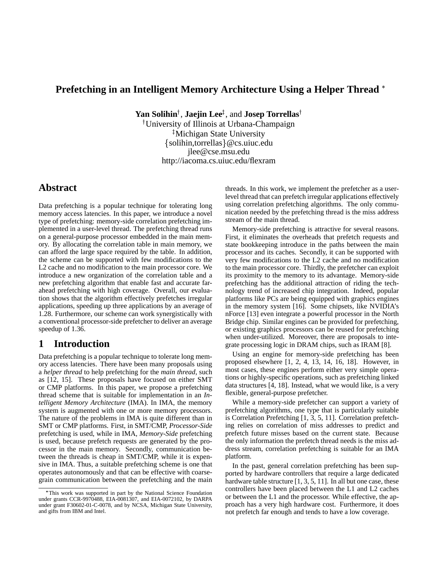# **Prefetching in an Intelligent Memory Architecture Using a Helper Thread**

 $\mathbf{Yan}$  **Solihin<sup>†</sup>, Jaejin Lee** $^\ddagger$ **,** and **Josep Torrellas**†

 University of Illinois at Urbana-Champaign - Michigan State University solihin,torrellas @cs.uiuc.edu jlee@cse.msu.edu http://iacoma.cs.uiuc.edu/flexram

# **Abstract**

Data prefetching is a popular technique for tolerating long memory access latencies. In this paper, we introduce a novel type of prefetching: memory-side correlation prefetching implemented in a user-level thread. The prefetching thread runs on a general-purpose processor embedded in the main memory. By allocating the correlation table in main memory, we can afford the large space required by the table. In addition, the scheme can be supported with few modifications to the L2 cache and no modification to the main processor core. We introduce a new organization of the correlation table and a new prefetching algorithm that enable fast and accurate farahead prefetching with high coverage. Overall, our evaluation shows that the algorithm effectively prefetches irregular applications, speeding up three applications by an average of 1.28. Furthermore, our scheme can work synergistically with a conventional processor-side prefetcher to deliver an average speedup of 1.36.

## **1 Introduction**

Data prefetching is a popular technique to tolerate long memory access latencies. There have been many proposals using a *helper thread* to help prefetching for the *main thread*, such as [12, 15]. These proposals have focused on either SMT or CMP platforms. In this paper, we propose a prefetching thread scheme that is suitable for implementation in an *Intelligent Memory Architecture* (IMA). In IMA, the memory system is augmented with one or more memory processors. The nature of the problems in IMA is quite different than in SMT or CMP platforms. First, in SMT/CMP, *Processor-Side* prefetching is used, while in IMA, *Memory-Side* prefetching is used, because prefetch requests are generated by the processor in the main memory. Secondly, communication between the threads is cheap in SMT/CMP, while it is expensive in IMA. Thus, a suitable prefetching scheme is one that operates autonomously and that can be effective with coarsegrain communication between the prefetching and the main threads. In this work, we implement the prefetcher as a userlevel thread that can prefetch irregular applications effectively using correlation prefetching algorithms. The only communication needed by the prefetching thread is the miss address stream of the main thread.

Memory-side prefetching is attractive for several reasons. First, it eliminates the overheads that prefetch requests and state bookkeeping introduce in the paths between the main processor and its caches. Secondly, it can be supported with very few modifications to the L2 cache and no modification to the main processor core. Thirdly, the prefetcher can exploit its proximity to the memory to its advantage. Memory-side prefetching has the additional attraction of riding the technology trend of increased chip integration. Indeed, popular platforms like PCs are being equipped with graphics engines in the memory system [16]. Some chipsets, like NVIDIA's nForce [13] even integrate a powerful processor in the North Bridge chip. Similar engines can be provided for prefetching, or existing graphics processors can be reused for prefetching when under-utilized. Moreover, there are proposals to integrate processing logic in DRAM chips, such as IRAM [8].

Using an engine for memory-side prefetching has been proposed elsewhere [1, 2, 4, 13, 14, 16, 18]. However, in most cases, these engines perform either very simple operations or highly-specific operations, such as prefetching linked data structures [4, 18]. Instead, what we would like, is a very flexible, general-purpose prefetcher.

While a memory-side prefetcher can support a variety of prefetching algorithms, one type that is particularly suitable is Correlation Prefetching [1, 3, 5, 11]. Correlation prefetching relies on correlation of miss addresses to predict and prefetch future misses based on the current state. Because the only information the prefetch thread needs is the miss address stream, correlation prefetching is suitable for an IMA platform.

In the past, general correlation prefetching has been supported by hardware controllers that require a large dedicated hardware table structure [1, 3, 5, 11]. In all but one case, these controllers have been placed between the L1 and L2 caches or between the L1 and the processor. While effective, the approach has a very high hardware cost. Furthermore, it does not prefetch far enough and tends to have a low coverage.

This work was supported in part by the National Science Foundation under grants CCR-9970488, EIA-0081307, and EIA-0072102, by DARPA under grant F30602-01-C-0078, and by NCSA, Michigan State University, and gifts from IBM and Intel.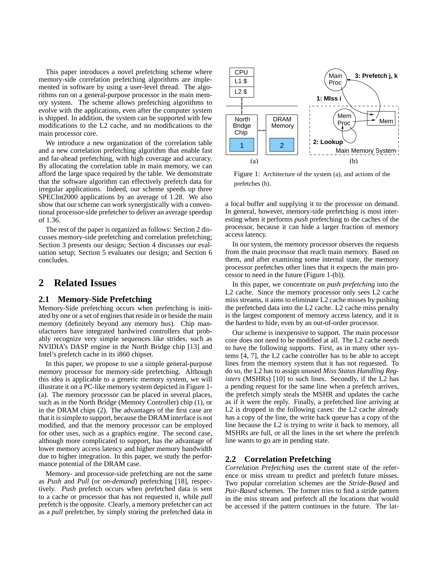This paper introduces a novel prefetching scheme where memory-side correlation prefetching algorithms are implemented in software by using a user-level thread. The algorithms run on a general-purpose processor in the main memory system. The scheme allows prefetching algorithms to evolve with the applications, even after the computer system is shipped. In addition, the system can be supported with few modifications to the L2 cache, and no modifications to the main processor core.

We introduce a new organization of the correlation table and a new correlation prefetching algorithm that enable fast and far-ahead prefetching, with high coverage and accuracy. By allocating the correlation table in main memory, we can afford the large space required by the table. We demonstrate that the software algorithm can effectively prefetch data for irregular applications. Indeed, our scheme speeds up three SPECInt2000 applications by an average of 1.28. We also show that our scheme can work synergistically with a conventional processor-side prefetcher to deliver an average speedup of 1.36.

The rest of the paper is organized as follows: Section 2 discusses memory-side prefetching and correlation prefetching; Section 3 presents our design; Section 4 discusses our evaluation setup; Section 5 evaluates our design; and Section 6 concludes.

## **2 Related Issues**

#### **2.1 Memory-Side Prefetching**

Memory-Side prefetching occurs when prefetching is initiated by one or a set of engines that reside in or beside the main memory (definitely beyond any memory bus). Chip manufacturers have integrated hardwired controllers that probably recognize very simple sequences like strides, such as NVIDIA's DASP engine in the North Bridge chip [13] and Intel's prefetch cache in its i860 chipset.

In this paper, we propose to use a simple general-purpose memory processor for memory-side prefetching. Although this idea is applicable to a generic memory system, we will illustrate it on a PC-like memory system depicted in Figure 1- (a). The memory processor can be placed in several places, such as in the North Bridge (Memory Controller) chip (1), or in the DRAM chips (2). The advantages of the first case are that it issimple to support, because the DRAM interface is not modified, and that the memory processor can be employed for other uses, such as a graphics engine. The second case, although more complicated to support, has the advantage of lower memory access latency and higher memory bandwidth due to higher integration. In this paper, we study the performance potential of the DRAM case.

Memory- and processor-side prefetching are not the same as *Push* and *Pull* (or *on-demand*) prefetching [18], respectively. *Push* prefetch occurs when prefetched data is sent to a cache or processor that has not requested it, while *pull* prefetch is the opposite. Clearly, a memory prefetcher can act as a *pull* prefetcher, by simply storing the prefetched data in



Figure 1: Architecture of the system (a), and actions of the prefetches (b).

a local buffer and supplying it to the processor on demand. In general, however, memory-side prefetching is most interesting when it performs *push* prefetching to the caches of the processor, because it can hide a larger fraction of memory access latency.

In our system, the memory processor observes the requests from the main processor that reach main memory. Based on them, and after examining some internal state, the memory processor prefetches other lines that it expects the main processor to need in the future (Figure 1-(b)).

In this paper, we concentrate on *push prefetching* into the L<sub>2</sub> cache. Since the memory processor only sees L<sub>2</sub> cache miss streams, it aims to eliminate L2 cache misses by pushing the prefetched data into the L2 cache. L2 cache miss penalty is the largest component of memory access latency, and it is the hardest to hide, even by an out-of-order processor.

Our scheme is inexpensive to support. The main processor core does not need to be modified at all. The L2 cache needs to have the following supports. First, as in many other systems [4, 7], the L2 cache controller has to be able to accept lines from the memory system that it has not requested. To do so, the L2 has to assign unused *Miss Status Handling Registers* (MSHRs) [10] to such lines. Secondly, if the L2 has a pending request for the same line when a prefetch arrives, the prefetch simply steals the MSHR and updates the cache as if it were the reply. Finally, a prefetched line arriving at L2 is dropped in the following cases: the L2 cache already has a copy of the line, the write back queue has a copy of the line because the L2 is trying to write it back to memory, all MSHRs are full, or all the lines in the set where the prefetch line wants to go are in pending state.

### **2.2 Correlation Prefetching**

*Correlation Prefetching* uses the current state of the reference or miss stream to predict and prefetch future misses. Two popular correlation schemes are the *Stride-Based* and *Pair-Based* schemes. The former tries to find a stride pattern in the miss stream and prefetch all the locations that would be accessed if the pattern continues in the future. The lat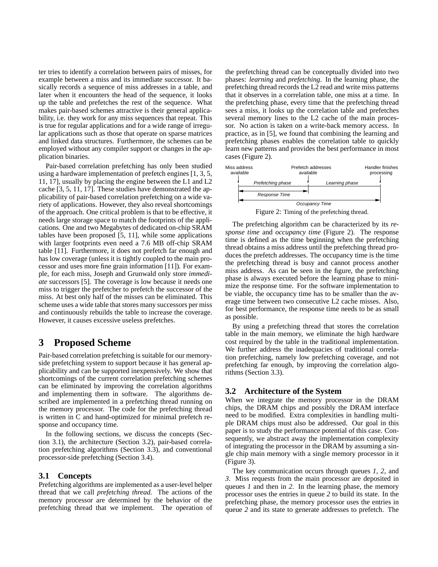ter tries to identify a correlation between pairs of misses, for example between a miss and its immediate successor. It basically records a sequence of miss addresses in a table, and later when it encounters the head of the sequence, it looks up the table and prefetches the rest of the sequence. What makes pair-based schemes attractive is their general applicability, i.e. they work for any miss sequences that repeat. This is true for regular applications and for a wide range of irregular applications such as those that operate on sparse matrices and linked data structures. Furthermore, the schemes can be employed without any compiler support or changes in the application binaries.

Pair-based correlation prefetching has only been studied using a hardware implementation of prefetch engines [1, 3, 5, 11, 17], usually by placing the engine between the L1 and L2 cache [3, 5, 11, 17]. These studies have demonstrated the applicability of pair-based correlation prefetching on a wide variety of applications. However, they also reveal shortcomings of the approach. One critical problem is that to be effective, it needs large storage space to match the footprints of the applications. One and two Megabytes of dedicated on-chip SRAM tables have been proposed [5, 11], while some applications with larger footprints even need a 7.6 MB off-chip SRAM table [11]. Furthermore, it does not prefetch far enough and has low coverage (unless it is tightly coupled to the main processor and uses more fine grain information [11]). For example, for each miss, Joseph and Grunwald only store *immediate* successors [5]. The coverage is low because it needs one miss to trigger the prefetcher to prefetch the successor of the miss. At best only half of the misses can be eliminated. This scheme uses a wide table that stores many successors per miss and continuously rebuilds the table to increase the coverage. However, it causes excessive useless prefetches.

## **3 Proposed Scheme**

Pair-based correlation prefetching is suitable for our memoryside prefetching system to support because it has general applicability and can be supported inexpensively. We show that shortcomings of the current correlation prefetching schemes can be eliminated by improving the correlation algorithms and implementing them in software. The algorithms described are implemented in a prefetching thread running on the memory processor. The code for the prefetching thread is written in C and hand-optimized for minimal prefetch response and occupancy time.

In the following sections, we discuss the concepts (Section 3.1), the architecture (Section 3.2), pair-based correlation prefetching algorithms (Section 3.3), and conventional processor-side prefetching (Section 3.4).

### **3.1 Concepts**

Prefetching algorithms are implemented as a user-level helper thread that we call *prefetching thread*. The actions of the memory processor are determined by the behavior of the prefetching thread that we implement. The operation of the prefetching thread can be conceptually divided into two phases: *learning* and *prefetching*. In the learning phase, the prefetching thread records the L2 read and write miss patterns that it observes in a correlation table, one miss at a time. In the prefetching phase, every time that the prefetching thread sees a miss, it looks up the correlation table and prefetches several memory lines to the L2 cache of the main processor. No action is taken on a write-back memory access. In practice, as in [5], we found that combining the learning and prefetching phases enables the correlation table to quickly learn new patterns and provides the best performance in most cases (Figure 2).



The prefetching algorithm can be characterized by its *response time* and *occupancy time* (Figure 2). The response time is defined as the time beginning when the prefetching thread obtains a miss address until the prefetching thread produces the prefetch addresses. The occupancy time is the time the prefetching thread is busy and cannot process another miss address. As can be seen in the figure, the prefetching phase is always executed before the learning phase to minimize the response time. For the software implementation to be viable, the occupancy time has to be smaller than the average time between two consecutive L2 cache misses. Also, for best performance, the response time needs to be as small as possible.

By using a prefetching thread that stores the correlation table in the main memory, we eliminate the high hardware cost required by the table in the traditional implementation. We further address the inadequacies of traditional correlation prefetching, namely low prefetching coverage, and not prefetching far enough, by improving the correlation algorithms (Section 3.3).

## **3.2 Architecture of the System**

When we integrate the memory processor in the DRAM chips, the DRAM chips and possibly the DRAM interface need to be modified. Extra complexities in handling multiple DRAM chips must also be addressed. Our goal in this paper is to study the performance potential of this case. Consequently, we abstract away the implementation complexity of integrating the processor in the DRAM by assuming a single chip main memory with a single memory processor in it (Figure 3).

The key communication occurs through queues *1*, *2*, and *3*. Miss requests from the main processor are deposited in queues *1* and then in *2*. In the learning phase, the memory processor uses the entries in queue *2* to build its state. In the prefetching phase, the memory processor uses the entries in queue *2* and its state to generate addresses to prefetch. The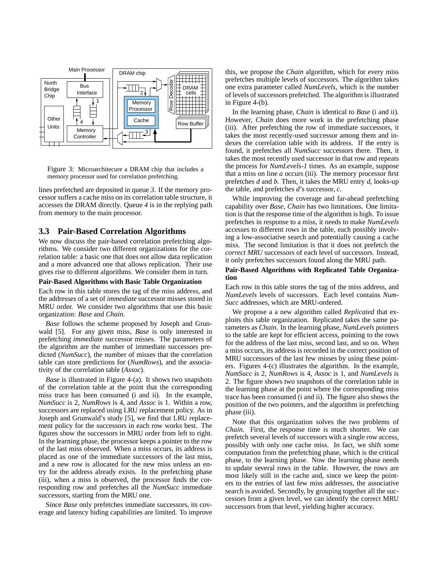

Figure 3: Microarchitecure a DRAM chip that includes a memory processor used for correlation prefetching.

lines prefetched are deposited in queue *3*. If the memory processor suffers a cache miss on its correlation table structure, it accesses the DRAM directly. Queue *4* is in the replying path from memory to the main processor.

### **3.3 Pair-Based Correlation Algorithms**

We now discuss the pair-based correlation prefetching algorithms. We consider two different organizations for the correlation table: a basic one that does not allow data replication and a more advanced one that allows replication. Their use gives rise to different algorithms. We consider them in turn.

#### **Pair-Based Algorithms with Basic Table Organization**

Each row in this table stores the tag of the miss address, and the addresses of a set of *immediate* successor misses stored in MRU order. We consider two algorithms that use this basic organization: *Base* and *Chain*.

*Base* follows the scheme proposed by Joseph and Grunwald [5]. For any given miss, *Base* is only interested in prefetching *immediate* successor misses. The parameters of the algorithm are the number of immediate successors predicted (*NumSucc*), the number of misses that the correlation table can store predictions for (*NumRows*), and the associativity of the correlation table (*Assoc*).

*Base* is illustrated in Figure 4-(a). It shows two snapshots of the correlation table at the point that the corresponding miss trace has been consumed (i and ii). In the example, *NumSucc* is 2, *NumRows* is 4, and *Assoc* is 1. Within a row, successors are replaced using LRU replacement policy. As in Joseph and Grunwald's study [5], we find that LRU replacement policy for the successors in each row works best. The figures show the successors in MRU order from left to right. In the learning phase, the processor keeps a pointer to the row of the last miss observed. When a miss occurs, its address is placed as one of the immediate successors of the last miss, and a new row is allocated for the new miss unless an entry for the address already exists. In the prefetching phase (iii), when a miss is observed, the processor finds the corresponding row and prefetches all the *NumSucc* immediate successors, starting from the MRU one.

Since *Base* only prefetches immediate successors, its coverage and latency hiding capabilities are limited. To improve this, we propose the *Chain* algorithm, which for every miss prefetches multiple levels of successors. The algorithm takes one extra parameter called *NumLevels*, which is the number of levels of successors prefetched. The algorithm is illustrated in Figure 4-(b).

In the learning phase, *Chain* is identical to *Base* (i and ii). However, *Chain* does more work in the prefetching phase (iii). After prefetching the row of immediate successors, it takes the most recently-used successor among them and indexes the correlation table with its address. If the entry is found, it prefetches all *NumSucc* successors there. Then, it takes the most recently used successor in that row and repeats the process for *NumLevels-1* times. As an example, suppose that a miss on line *a* occurs (iii). The memory processor first prefetches *d* and *b*. Then, it takes the MRU entry *d*, looks-up the table, and prefetches *d*'s successor, *c*.

While improving the coverage and far-ahead prefetching capability over *Base*, *Chain* has two limitations. One limitation is that the response time of the algorithm is high. To issue prefetches in response to a miss, it needs to make *NumLevels* accesses to different rows in the table, each possibly involving a low-associative search and potentially causing a cache miss. The second limitation is that it does not prefetch the *correct MRU* successors of each level of successors. Instead, it only prefetches successors found along the MRU path.

#### **Pair-Based Algorithms with Replicated Table Organization**

Each row in this table stores the tag of the miss address, and *NumLevels* levels of successors. Each level contains *Num-Succ* addresses, which are MRU-ordered.

We propose a a new algorithm called *Replicated* that exploits this table organization. Replicated takes the same parameters as *Chain*. In the learning phase, *NumLevels* pointers to the table are kept for efficient access, pointing to the rows for the address of the last miss, second last, and so on. When a miss occurs, its address is recorded in the correct position of MRU successors of the last few misses by using these pointers. Figures 4-(c) illustrates the algorithm. In the example, *NumSucc* is 2, *NumRows* is 4, *Assoc* is 1, and *NumLevels* is 2. The figure shows two snapshots of the correlation table in the learning phase at the point where the corresponding miss trace has been consumed (i and ii). The figure also shows the position of the two pointers, and the algorithm in prefetching phase (iii).

Note that this organization solves the two problems of *Chain*. First, the response time is much shorter. We can prefetch several levels of successors with a single row access, possibly with only one cache miss. In fact, we shift some computation from the prefetching phase, which is the critical phase, to the learning phase. Now the learning phase needs to update several rows in the table. However, the rows are most likely still in the cache and, since we keep the pointers to the entries of last few miss addresses, the associative search is avoided. Secondly, by grouping together all the successors from a given level, we can identify the correct MRU successors from that level, yielding higher accuracy.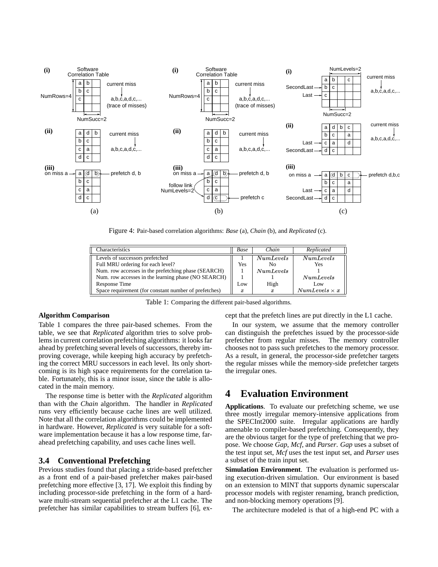

Figure 4: Pair-based correlation algorithms: *Base* (a), *Chain* (b), and *Replicated* (c).

| Characteristics                                       | Base | Chain            | Replicated       |
|-------------------------------------------------------|------|------------------|------------------|
| <b>Levels of successors prefetched</b>                |      | NumLevels        | <i>NumLevels</i> |
| Full MRU ordering for each level?                     | Yes  | No               | Yes              |
| Num. row accesses in the prefetching phase (SEARCH)   |      | NumLevels        |                  |
| Num. row accesses in the learning phase (NO SEARCH)   |      |                  | Num Levels       |
| Response Time                                         | Low  | High             | Low              |
| Space requirement (for constant number of prefetches) | x    | $\boldsymbol{x}$ | Numberless x     |

Table 1: Comparing the different pair-based algorithms.

#### **Algorithm Comparison**

Table 1 compares the three pair-based schemes. From the table, we see that *Replicated* algorithm tries to solve problems in current correlation prefetching algorithms: it looks far ahead by prefetching several levels of successors, thereby improving coverage, while keeping high accuracy by prefetching the correct MRU successors in each level. Its only shortcoming is its high space requirements for the correlation table. Fortunately, this is a minor issue, since the table is allocated in the main memory.

The response time is better with the *Replicated* algorithm than with the *Chain* algorithm. The handler in *Replicated* runs very efficiently because cache lines are well utilized. Note that all the correlation algorithms could be implemented in hardware. However, *Replicated* is very suitable for a software implementation because it has a low response time, farahead prefetching capability, and uses cache lines well.

## **3.4 Conventional Prefetching**

Previous studies found that placing a stride-based prefetcher as a front end of a pair-based prefetcher makes pair-based prefetching more effective [3, 17]. We exploit this finding by including processor-side prefetching in the form of a hardware multi-stream sequential prefetcher at the L1 cache. The prefetcher has similar capabilities to stream buffers [6], except that the prefetch lines are put directly in the L1 cache.

In our system, we assume that the memory controller can distinguish the prefetches issued by the processor-side prefetcher from regular misses. The memory controller chooses not to pass such prefetches to the memory processor. As a result, in general, the processor-side prefetcher targets the regular misses while the memory-side prefetcher targets the irregular ones.

# **4 Evaluation Environment**

**Applications**. To evaluate our prefetching scheme, we use three mostly irregular memory-intensive applications from the SPECInt2000 suite. Irregular applications are hardly amenable to compiler-based prefetching. Consequently, they are the obvious target for the type of prefetching that we propose. We choose *Gap*, *Mcf*, and *Parser*. *Gap* uses a subset of the test input set, *Mcf* uses the test input set, and *Parser* uses a subset of the train input set.

**Simulation Environment**. The evaluation is performed using execution-driven simulation. Our environment is based on an extension to MINT that supports dynamic superscalar processor models with register renaming, branch prediction, and non-blocking memory operations [9].

The architecture modeled is that of a high-end PC with a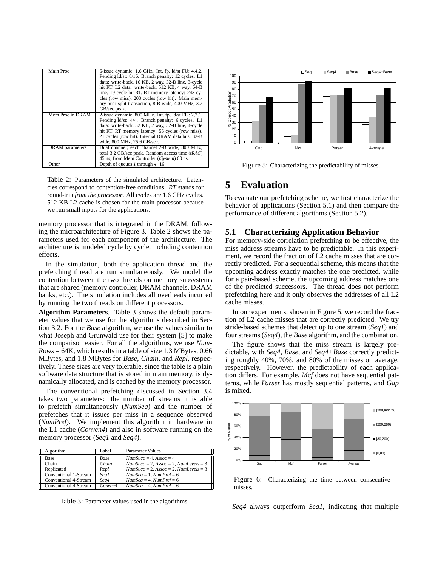| Main Proc           | 6-issue dynamic, 1.6 GHz. Int, fp, ld/st FU: 4,4,2.<br>Pending ld/st: 8/16. Branch penalty: 12 cycles. L1<br>data: write-back, 16 KB, 2 way, 32-B line, 3-cycle<br>hit RT. L2 data: write-back, 512 KB, 4 way, 64-B<br>line, 19-cycle hit RT. RT memory latency: 243 cy-<br>cles (row miss), 208 cycles (row hit). Main mem-<br>ory bus: split-transaction, 8-B wide, 400 MHz, 3.2<br>GB/sec peak. |
|---------------------|----------------------------------------------------------------------------------------------------------------------------------------------------------------------------------------------------------------------------------------------------------------------------------------------------------------------------------------------------------------------------------------------------|
| Mem Proc in DRAM    | 2-issue dynamic, $800$ MHz. Int, fp, $\frac{Id}{st}$ FU: 2,2,1.<br>Pending ld/st: 4/4. Branch penalty: 6 cycles. L1<br>data: write-back, 32 KB, 2 way, 32-B line, 4-cycle<br>hit RT. RT memory latency: 56 cycles (row miss),<br>21 cycles (row hit). Internal DRAM data bus: 32-B<br>wide, 800 MHz, 25.6 GB/sec.                                                                                  |
| DRAM parameters     | Dual channel; each channel 2-B wide, 800 MHz;<br>total 3.2 GB/sec peak. Random access time $(tRAC)$<br>45 ns; from Mem Controller (tSystem) 60 ns.                                                                                                                                                                                                                                                 |
| $\overline{O}$ ther | Depth of queues 1 through 4: 16.                                                                                                                                                                                                                                                                                                                                                                   |

Table 2: Parameters of the simulated architecture. Latencies correspond to contention-free conditions. *RT* stands for round-trip *from the processor*. All cycles are 1.6 GHz cycles. 512-KB L2 cache is chosen for the main processor because we run small inputs for the applications.

memory processor that is integrated in the DRAM, following the microarchitecture of Figure 3. Table 2 shows the parameters used for each component of the architecture. The architecture is modeled cycle by cycle, including contention effects.

In the simulation, both the application thread and the prefetching thread are run simultaneously. We model the contention between the two threads on memory subsystems that are shared (memory controller, DRAM channels, DRAM banks, etc.). The simulation includes all overheads incurred by running the two threads on different processors.

**Algorithm Parameters**. Table 3 shows the default parameter values that we use for the algorithms described in Section 3.2. For the *Base* algorithm, we use the values similar to what Joseph and Grunwald use for their system [5] to make the comparison easier. For all the algorithms, we use *Num-Rows* = 64K, which results in a table of size 1.3 MBytes, 0.66 MBytes, and 1.8 MBytes for *Base*, *Chain*, and *Repl*, respectively. These sizes are very tolerable, since the table is a plain software data structure that is stored in main memory, is dynamically allocated, and is cached by the memory processor.

The conventional prefetching discussed in Section 3.4 takes two parameters: the number of streams it is able to prefetch simultaneously (*NumSeq*) and the number of prefetches that it issues per miss in a sequence observed (*NumPref*). We implement this algorithm in hardware in the L1 cache (*Conven4*) and also in software running on the memory processor (*Seq1* and *Seq4*).

| Algorithm                                                                            | Label.                                       | <b>Parameter Values</b>                                                                                                                                                              |
|--------------------------------------------------------------------------------------|----------------------------------------------|--------------------------------------------------------------------------------------------------------------------------------------------------------------------------------------|
| <b>Base</b><br>Chain<br>Replicated<br>Conventional 1-Stream<br>Conventional 4-Stream | <b>Base</b><br>Chain<br>Repl<br>Seq1<br>Seq4 | $NumSucc = 4, Assoc = 4$<br>$NumSucc = 2$ , $Assoc = 2$ , $NumLevels = 3$<br>$NumSucc = 2, Assoc = 2, NumLevels = 3$<br>$NumSeq = 1$ , $NumPref = 6$<br>$NumSeq = 4$ , $NumPref = 6$ |
| Conventional 4-Stream                                                                | Conven4                                      | $NumSeq = 4$ , $NumPref = 6$                                                                                                                                                         |

Table 3: Parameter values used in the algorithms.



Figure 5: Characterizing the predictability of misses.

## **5 Evaluation**

To evaluate our prefetching scheme, we first characterize the behavior of applications (Section 5.1) and then compare the performance of different algorithms (Section 5.2).

### **5.1 Characterizing Application Behavior**

For memory-side correlation prefetching to be effective, the miss address streams have to be predictable. In this experiment, we record the fraction of L2 cache misses that are correctly predicted. For a sequential scheme, this means that the upcoming address exactly matches the one predicted, while for a pair-based scheme, the upcoming address matches one of the predicted successors. The thread does not perform prefetching here and it only observes the addresses of all L2 cache misses.

In our experiments, shown in Figure 5, we record the fraction of L2 cache misses that are correctly predicted. We try stride-based schemes that detect up to one stream (*Seq1*) and four streams(*Seq4*), the *Base* algorithm, and the combination.

The figure shows that the miss stream is largely predictable, with *Seq4*, *Base*, and *Seq4+Base* correctly predicting roughly 40%, 70%, and 80% of the misses on average, respectively. However, the predictability of each application differs. For example, *Mcf* does not have sequential patterns, while *Parser* has mostly sequential patterns, and *Gap* is mixed.



Figure 6: Characterizing the time between consecutive misses.

*Seq4* always outperform *Seq1*, indicating that multiple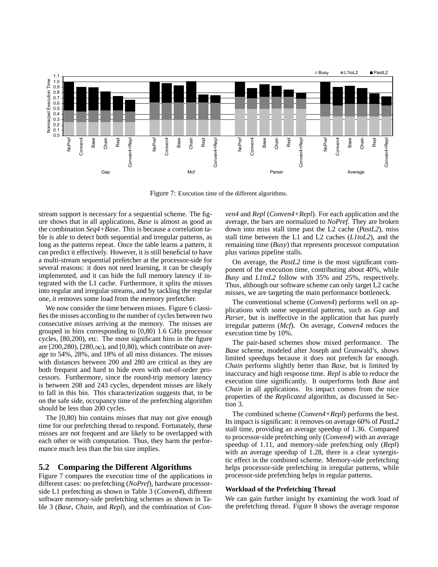

Figure 7: Execution time of the different algorithms.

stream support is necessary for a sequential scheme. The figure shows that in all applications, *Base* is almost as good as the combination *Seq4+Base*. This is because a correlation table is able to detect both sequential and irregular patterns, as long as the patterns repeat. Once the table learns a pattern, it can predict it effectively. However, it is still beneficial to have a multi-stream sequential prefetcher at the processor-side for several reasons: it does not need learning, it can be cheaply implemented, and it can hide the full memory latency if integrated with the L1 cache. Furthermore, it splits the misses into regular and irregular streams, and by tackling the regular one, it removes some load from the memory prefetcher.

We now consider the time between misses. Figure 6 classifiesthe misses according to the number of cycles between two consecutive misses arriving at the memory. The misses are grouped in bins corresponding to [0,80) 1.6 GHz processor cycles, [80,200), etc. The most significant bins in the figure are  $[200,280)$ ,  $[280,\infty)$ , and  $[0,80)$ , which contribute on average to 54%, 28%, and 18% of all miss distances. The misses with distances between 200 and 280 are critical as they are both frequent and hard to hide even with out-of-order processors. Furthermore, since the round-trip memory latency is between 208 and 243 cycles, dependent misses are likely to fall in this bin. This characterization suggests that, to be on the safe side, occupancy time of the prefetching algorithm should be less than 200 cycles.

The [0,80) bin contains misses that may not give enough time for our prefetching thread to respond. Fortunately, these misses are not frequent and are likely to be overlapped with each other or with computation. Thus, they harm the performance much less than the bin size implies.

### **5.2 Comparing the Different Algorithms**

Figure 7 compares the execution time of the applications in different cases: no prefetching (*NoPref*), hardware processorside L1 prefetching as shown in Table 3 (*Conven4*), different software memory-side prefetching schemes as shown in Table 3 (*Base*, *Chain*, and *Repl*), and the combination of *Con-* *ven4* and *Repl* (*Conven4+Repl*). For each application and the average, the bars are normalized to *NoPref*. They are broken down into miss stall time past the L2 cache (*PastL2*), miss stall time between the L1 and L2 caches (*L1toL2*), and the remaining time (*Busy*) that represents processor computation plus various pipeline stalls.

On average, the *PastL2* time is the most significant component of the execution time, contributing about 40%, while *Busy* and *L1toL2* follow with 35% and 25%, respectively. Thus, although our software scheme can only target L2 cache misses, we are targeting the main performance bottleneck.

The conventional scheme (*Conven4*) performs well on applications with some sequential patterns, such as *Gap* and *Parser*, but is ineffective in the application that has purely irregular patterns (*Mcf*). On average, *Conven4* reduces the execution time by 10%.

The pair-based schemes show mixed performance. The *Base* scheme, modeled after Joseph and Grunwald's, shows limited speedups because it does not prefetch far enough. *Chain* performs slightly better than *Base*, but is limited by inaccuracy and high response time. *Repl* is able to reduce the execution time significantly. It outperforms both *Base* and *Chain* in all applications. Its impact comes from the nice properties of the *Replicated* algorithm, as discussed in Section 3.

The combined scheme (*Conven4+Repl*) performs the best. Its impact is significant: it removes on average 60% of *PastL2* stall time, providing an average speedup of 1.36. Compared to processor-side prefetching only (*Conven4*) with an average speedup of 1.11, and memory-side prefetching only (*Repl*) with an average speedup of 1.28, there is a clear synergistic effect in the combined scheme. Memory-side prefetching helps processor-side prefetching in irregular patterns, while processor-side prefetching helps in regular patterns.

#### **Workload of the Prefetching Thread**

We can gain further insight by examining the work load of the prefetching thread. Figure 8 shows the average response